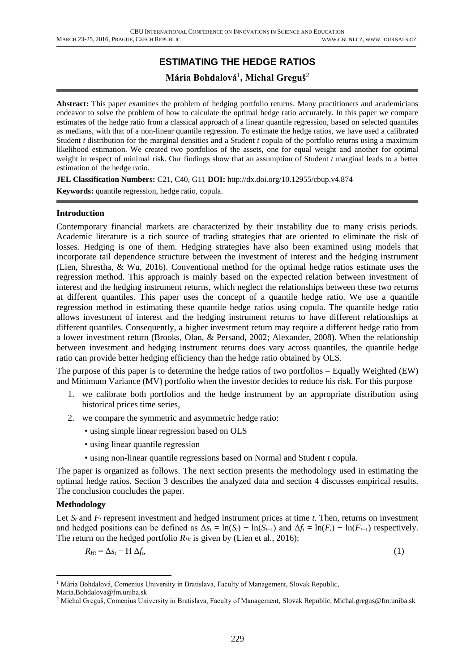# **ESTIMATING THE HEDGE RATIOS**

## **Mária Bohdalová**<sup>1</sup> **, Michal Greguš**<sup>2</sup>

**Abstract:** This paper examines the problem of hedging portfolio returns. Many practitioners and academicians endeavor to solve the problem of how to calculate the optimal hedge ratio accurately. In this paper we compare estimates of the hedge ratio from a classical approach of a linear quantile regression, based on selected quantiles as medians, with that of a non-linear quantile regression. To estimate the hedge ratios, we have used a calibrated Student *t* distribution for the marginal densities and a Student *t* copula of the portfolio returns using a maximum likelihood estimation. We created two portfolios of the assets, one for equal weight and another for optimal weight in respect of minimal risk. Our findings show that an assumption of Student *t* marginal leads to a better estimation of the hedge ratio.

**JEL Classification Numbers:** C21, C40, G11 **DOI:** http://dx.doi.org/10.12955/cbup.v4.874

**Keywords:** quantile regression, hedge ratio, copula.

#### **Introduction**

Contemporary financial markets are characterized by their instability due to many crisis periods. Academic literature is a rich source of trading strategies that are oriented to eliminate the risk of losses. Hedging is one of them. Hedging strategies have also been examined using models that incorporate tail dependence structure between the investment of interest and the hedging instrument (Lien, Shrestha, & Wu, 2016). Conventional method for the optimal hedge ratios estimate uses the regression method. This approach is mainly based on the expected relation between investment of interest and the hedging instrument returns, which neglect the relationships between these two returns at different quantiles. This paper uses the concept of a quantile hedge ratio. We use a quantile regression method in estimating these quantile hedge ratios using copula. The quantile hedge ratio allows investment of interest and the hedging instrument returns to have different relationships at different quantiles. Consequently, a higher investment return may require a different hedge ratio from a lower investment return (Brooks, Olan, & Persand, 2002; Alexander, 2008). When the relationship between investment and hedging instrument returns does vary across quantiles, the quantile hedge ratio can provide better hedging efficiency than the hedge ratio obtained by OLS.

The purpose of this paper is to determine the hedge ratios of two portfolios – Equally Weighted (EW) and Minimum Variance (MV) portfolio when the investor decides to reduce his risk. For this purpose

- 1. we calibrate both portfolios and the hedge instrument by an appropriate distribution using historical prices time series,
- 2. we compare the symmetric and asymmetric hedge ratio:
	- using simple linear regression based on OLS
	- using linear quantile regression
	- using non-linear quantile regressions based on Normal and Student *t* copula.

The paper is organized as follows. The next section presents the methodology used in estimating the optimal hedge ratios. Section 3 describes the analyzed data and section 4 discusses empirical results. The conclusion concludes the paper.

#### **Methodology**

**.** 

Let  $S_t$  and  $F_t$  represent investment and hedged instrument prices at time  $t$ . Then, returns on investment and hedged positions can be defined as  $\Delta s_t = \ln(S_t) - \ln(S_{t-1})$  and  $\Delta f_t = \ln(F_t) - \ln(F_{t-1})$  respectively. The return on the hedged portfolio  $R_{Ht}$  is given by (Lien et al., 2016):

$$
R_{Ht} = \Delta s_t - H \Delta f_t, \tag{1}
$$

<sup>&</sup>lt;sup>1</sup> Mária Bohdalová, Comenius University in Bratislava, Faculty of Management, [Slovak Republic,](https://en.wikipedia.org/wiki/Slovak_Republic)

Maria.Bohdalova@fm.uniba.sk

<sup>&</sup>lt;sup>2</sup> Michal Greguš, Comenius University in Bratislava, Faculty of Management, [Slovak Republic,](https://en.wikipedia.org/wiki/Slovak_Republic) Michal.gregus@fm.uniba.sk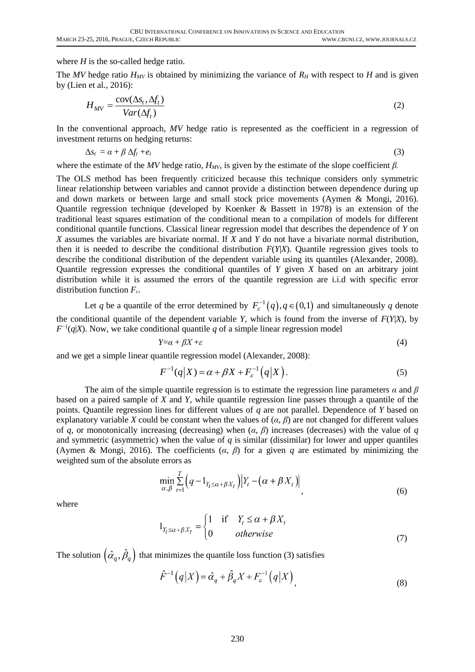where *H* is the so-called hedge ratio.

The *MV* hedge ratio  $H_{MV}$  is obtained by minimizing the variance of  $R_H$  with respect to *H* and is given by (Lien et al., 2016):

$$
H_{MV} = \frac{\text{cov}(\Delta s_t, \Delta f_t)}{Var(\Delta f_t)}
$$
(2)

In the conventional approach, MV hedge ratio is represented as the coefficient in a regression of investment returns on hedging returns:

$$
\Delta s_t = \alpha + \beta \Delta f_t + e_t \tag{3}
$$

where the estimate of the *MV* hedge ratio,  $H_{MV}$ , is given by the estimate of the slope coefficient  $\beta$ .

The OLS method has been frequently criticized because this technique considers only symmetric linear relationship between variables and cannot provide a distinction between dependence during up and down markets or between large and small stock price movements (Aymen & Mongi, 2016). Quantile regression technique (developed by Koenker & Bassett in 1978) is an extension of the traditional least squares estimation of the conditional mean to a compilation of models for different conditional quantile functions. Classical linear regression model that describes the dependence of *Y* on *X* assumes the variables are bivariate normal. If *X* and *Y* do not have a bivariate normal distribution, then it is needed to describe the conditional distribution  $F(Y|X)$ . Quantile regression gives tools to describe the conditional distribution of the dependent variable using its quantiles (Alexander, 2008). Quantile regression expresses the conditional quantiles of *Y* given *X* based on an arbitrary joint distribution while it is assumed the errors of the quantile regression are i.i.d with specific error distribution function *Fε*.

Let q be a quantile of the error determined by  $F_{\varepsilon}^{-1}(q)$ ,  $q \in (0,1)$  and simultaneously q denote the conditional quantile of the dependent variable *Y*, which is found from the inverse of  $F(Y|X)$ , by  $F^{-1}(q|X)$ . Now, we take conditional quantile q of a simple linear regression model

$$
Y = \alpha + \beta X + \varepsilon \tag{4}
$$

and we get a simple linear quantile regression model (Alexander, 2008):<br> $F^{-1}(q|X) = \alpha + \beta X + F_{\varepsilon}^{-1}(q|X)$ .

$$
F^{-1}(q|X) = \alpha + \beta X + F_{\varepsilon}^{-1}(q|X).
$$
\n(5)

The aim of the simple quantile regression is to estimate the regression line parameters *α* and *β*  based on a paired sample of *X* and *Y,* while quantile regression line passes through a quantile of the points. Quantile regression lines for different values of *q* are not parallel. Dependence of *Y* based on explanatory variable *X* could be constant when the values of  $(\alpha, \beta)$  are not changed for different values of *q*, or monotonically increasing (decreasing) when (*α*, *β*) increases (decreases) with the value of *q* and symmetric (asymmetric) when the value of  $q$  is similar (dissimilar) for lower and upper quantiles (Aymen & Mongi, 2016). The coefficients (*α*, *β*) for a given *q* are estimated by minimizing the weighted sum of the absolute errors as

$$
\min_{\alpha,\beta} \sum_{t=1}^{T} \Big( q - 1_{Y_t \leq \alpha + \beta X_t} \Big) \Big| Y_t - \big( \alpha + \beta X_t \big) \Big|,
$$
\n<sup>(6)</sup>

where

$$
1_{Y_t \le \alpha + \beta X_t} = \begin{cases} 1 & \text{if } Y_t \le \alpha + \beta X_t \\ 0 & \text{otherwise} \end{cases}
$$
(7)

The solution  $\left(\hat{\alpha}_q,\hat{\beta}_q\right)$  that minimizes the quantile loss function (3) satisfies

$$
\hat{F}^{-1}(q|X) = \hat{\alpha}_q + \hat{\beta}_q X + F_{\varepsilon}^{-1}(q|X) \tag{8}
$$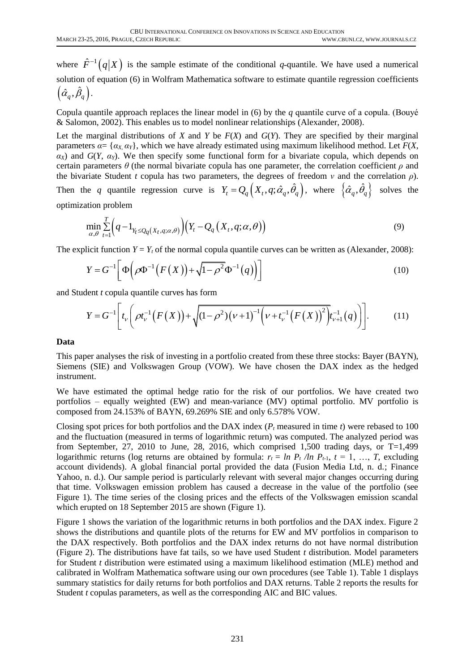where  $\hat{F}^{-1}(q|X)$  is the sample estimate of the conditional *q*-quantile. We have used a numerical solution of equation (6) in Wolfram Mathematica software to estimate quantile regression coefficients  $\left( \hat{\alpha}_{q}^{{\phantom{\dagger}}},\hat{\beta}_{q}^{{\phantom{\dagger}}}\right)$  .

Copula quantile approach replaces the linear model in (6) by the *q* quantile curve of a copula. (Bouyé & Salomon, 2002). This enables us to model nonlinear relationships (Alexander, 2008).

Let the marginal distributions of *X* and *Y* be  $F(X)$  and  $G(Y)$ . They are specified by their marginal parameters  $\alpha = \{\alpha_X \alpha_Y\}$ , which we have already estimated using maximum likelihood method. Let  $F(X)$ ,  $\alpha$ *X*) and *G*(*Y*,  $\alpha$ *Y*). We then specify some functional form for a bivariate copula, which depends on certain parameters  $\theta$  (the normal bivariate copula has one parameter, the correlation coefficient  $\rho$  and the bivariate Student *t* copula has two parameters, the degrees of freedom *ν* and the correlation *ρ*). Then the *q* quantile regression curve is  $Y_t = Q_q(X_t, q; \hat{\alpha}_q, \hat{\theta}_q)$ , where  $\{\hat{\alpha}_q, \hat{\theta}_q\}$  solves the

optimization problem

$$
\min_{\alpha,\theta} \sum_{t=1}^{T} \Big( q - 1_{Y_t \leq Q_q(X_t, q; \alpha, \theta)} \Big) \Big( Y_t - Q_q(X_t, q; \alpha, \theta) \Big)
$$
\n(9)

The explicit function 
$$
Y = Y_t
$$
 of the normal copula quantile curves can be written as (Alexander, 2008):  
\n
$$
Y = G^{-1} \left[ \Phi \left( \rho \Phi^{-1} \left( F(X) \right) + \sqrt{1 - \rho^2} \Phi^{-1} \left( q \right) \right) \right]
$$
\n(10)

and Student *t* copula quantile curves has form  
\n
$$
Y = G^{-1} \bigg[ t_{\nu} \bigg( \rho t_{\nu}^{-1} \big( F(X) \big) + \sqrt{(1 - \rho^2) (\nu + 1)^{-1} \big( \nu + t_{\nu}^{-1} \big( F(X) \big)^2 \big)} t_{\nu+1}^{-1}(q) \bigg] \bigg].
$$
\n(11)

#### **Data**

This paper analyses the risk of investing in a portfolio created from these three stocks: Bayer (BAYN), Siemens (SIE) and Volkswagen Group (VOW). We have chosen the DAX index as the hedged instrument.

We have estimated the optimal hedge ratio for the risk of our portfolios. We have created two portfolios – equally weighted (EW) and mean-variance (MV) optimal portfolio. MV portfolio is composed from 24.153% of BAYN, 69.269% SIE and only 6.578% VOW.

Closing spot prices for both portfolios and the DAX index (*P<sup>t</sup>* measured in time *t*) were rebased to 100 and the fluctuation (measured in terms of logarithmic return) was computed. The analyzed period was from September, 27, 2010 to June, 28, 2016, which comprised 1,500 trading days, or  $T=1,499$ logarithmic returns (log returns are obtained by formula:  $r_t = \ln P_t / \ln P_{t-1}$ ,  $t = 1, ..., T$ , excluding account dividends). A global financial portal provided the data (Fusion Media Ltd, n. d.; Finance Yahoo, n. d.). Our sample period is particularly relevant with several major changes occurring during that time. Volkswagen emission problem has caused a decrease in the value of the portfolio (see Figure 1). The time series of the closing prices and the effects of the Volkswagen emission scandal which erupted on 18 September 2015 are shown (Figure 1).

Figure 1 shows the variation of the logarithmic returns in both portfolios and the DAX index. Figure 2 shows the distributions and quantile plots of the returns for EW and MV portfolios in comparison to the DAX respectively. Both portfolios and the DAX index returns do not have normal distribution (Figure 2). The distributions have fat tails, so we have used Student *t* distribution. Model parameters for Student *t* distribution were estimated using a maximum likelihood estimation (MLE) method and calibrated in Wolfram Mathematica software using our own procedures (see Table 1). Table 1 displays summary statistics for daily returns for both portfolios and DAX returns. Table 2 reports the results for Student *t* copulas parameters, as well as the corresponding AIC and BIC values.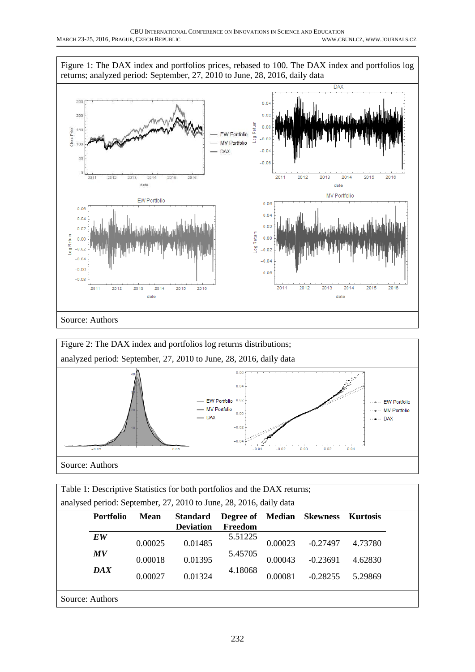



| Table 1: Descriptive Statistics for both portfolios and the DAX returns;                                 |                                                                         |         |                  |         |         |            |         |  |
|----------------------------------------------------------------------------------------------------------|-------------------------------------------------------------------------|---------|------------------|---------|---------|------------|---------|--|
| analysed period: September, 27, 2010 to June, 28, 2016, daily data                                       |                                                                         |         |                  |         |         |            |         |  |
| <b>Portfolio</b><br><b>Skewness</b><br><b>Standard</b><br>Median<br><b>Kurtosis</b><br>Mean<br>Degree of |                                                                         |         |                  |         |         |            |         |  |
|                                                                                                          |                                                                         |         | <b>Deviation</b> | Freedom |         |            |         |  |
|                                                                                                          | EW                                                                      | 0.00025 | 0.01485          | 5.51225 | 0.00023 | $-0.27497$ | 4.73780 |  |
|                                                                                                          | 5.45705<br>MV<br>0.01395<br>0.00043<br>0.00018<br>4.62830<br>$-0.23691$ |         |                  |         |         |            |         |  |
| 4.18068<br><b>DAX</b><br>0.01324<br>0.00081<br>0.00027<br>$-0.28255$<br>5.29869                          |                                                                         |         |                  |         |         |            |         |  |
|                                                                                                          | Source: Authors                                                         |         |                  |         |         |            |         |  |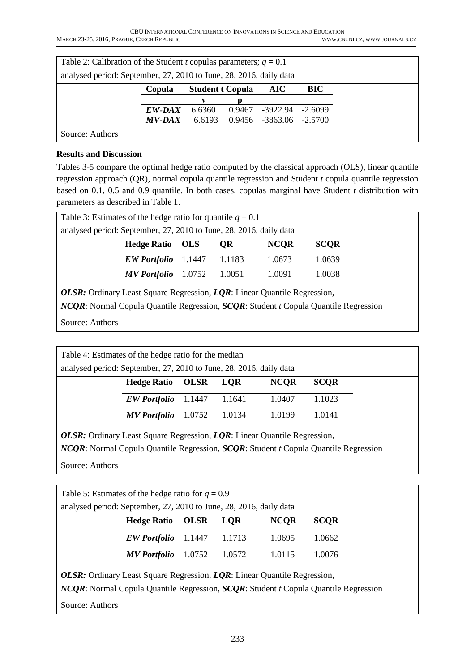| Table 2: Calibration of the Student <i>t</i> copulas parameters; $q = 0.1$ |                                                 |        |        |                  |           |  |  |  |
|----------------------------------------------------------------------------|-------------------------------------------------|--------|--------|------------------|-----------|--|--|--|
| analysed period: September, 27, 2010 to June, 28, 2016, daily data         |                                                 |        |        |                  |           |  |  |  |
|                                                                            | <b>Student t Copula</b><br>BIC<br>Copula<br>AIC |        |        |                  |           |  |  |  |
|                                                                            |                                                 |        |        |                  |           |  |  |  |
|                                                                            | EW-DAX                                          | 6.6360 | 0.9467 | -3922.94         | $-2.6099$ |  |  |  |
|                                                                            | <i>MV-DAX</i>                                   | 6.6193 | 0.9456 | -3863.06 -2.5700 |           |  |  |  |
| Source: Authors                                                            |                                                 |        |        |                  |           |  |  |  |

### **Results and Discussion**

Tables 3-5 compare the optimal hedge ratio computed by the classical approach (OLS), linear quantile regression approach (QR), normal copula quantile regression and Student *t* copula quantile regression based on 0.1, 0.5 and 0.9 quantile. In both cases, copulas marginal have Student *t* distribution with parameters as described in Table 1.

| Table 3: Estimates of the hedge ratio for quantile $q = 0.1$                                               |                     |        |        |        |        |  |  |  |
|------------------------------------------------------------------------------------------------------------|---------------------|--------|--------|--------|--------|--|--|--|
| analysed period: September, 27, 2010 to June, 28, 2016, daily data                                         |                     |        |        |        |        |  |  |  |
| <b>SCOR</b><br><b>Hedge Ratio</b><br><b>NCOR</b><br><b>OLS</b><br><b>OR</b>                                |                     |        |        |        |        |  |  |  |
|                                                                                                            | <b>EW Portfolio</b> | 1.1447 | 1.1183 | 1.0673 | 1.0639 |  |  |  |
| 1.0091<br>1.0038<br>1.0051<br><b>MV</b> Portfolio<br>1.0752                                                |                     |        |        |        |        |  |  |  |
| <b>OLSR:</b> Ordinary Least Square Regression, LOR: Linear Quantile Regression,                            |                     |        |        |        |        |  |  |  |
| <i>NCQR</i> : Normal Copula Quantile Regression, <i>SCQR</i> : Student <i>t</i> Copula Quantile Regression |                     |        |        |        |        |  |  |  |

Source: Authors

| Table 4: Estimates of the hedge ratio for the median                                                       |                     |        |        |        |        |  |  |  |
|------------------------------------------------------------------------------------------------------------|---------------------|--------|--------|--------|--------|--|--|--|
| analysed period: September, 27, 2010 to June, 28, 2016, daily data                                         |                     |        |        |        |        |  |  |  |
| <b>NCQR</b><br><b>Hedge Ratio</b><br><b>OLSR</b><br><b>LOR</b><br><b>SCOR</b>                              |                     |        |        |        |        |  |  |  |
|                                                                                                            | <b>EW Portfolio</b> | 1.1447 | 1.1641 | 1.0407 | 1.1023 |  |  |  |
|                                                                                                            | <b>MV</b> Portfolio | 1.0752 | 1.0134 | 1.0199 | 1.0141 |  |  |  |
| OLSR: Ordinary Least Square Regression, LQR: Linear Quantile Regression,                                   |                     |        |        |        |        |  |  |  |
| <i>NCQR</i> : Normal Copula Quantile Regression, <i>SCQR</i> : Student <i>t</i> Copula Quantile Regression |                     |        |        |        |        |  |  |  |

Source: Authors

| Table 5: Estimates of the hedge ratio for $q = 0.9$<br>analysed period: September, 27, 2010 to June, 28, 2016, daily data                                                                     |                     |        |        |        |        |  |  |
|-----------------------------------------------------------------------------------------------------------------------------------------------------------------------------------------------|---------------------|--------|--------|--------|--------|--|--|
| <b>NCOR</b><br><b>SCOR</b><br><b>Hedge Ratio</b><br><b>LOR</b><br><b>OLSR</b>                                                                                                                 |                     |        |        |        |        |  |  |
|                                                                                                                                                                                               | <b>EW Portfolio</b> | 1.1447 | 1.1713 | 1.0695 | 1.0662 |  |  |
|                                                                                                                                                                                               | <b>MV</b> Portfolio | 1.0752 | 1.0572 | 1.0115 | 1.0076 |  |  |
| <b>OLSR:</b> Ordinary Least Square Regression, LQR: Linear Quantile Regression,<br><i>NCQR</i> : Normal Copula Quantile Regression, <i>SCQR</i> : Student <i>t</i> Copula Quantile Regression |                     |        |        |        |        |  |  |
| Source: Authors                                                                                                                                                                               |                     |        |        |        |        |  |  |